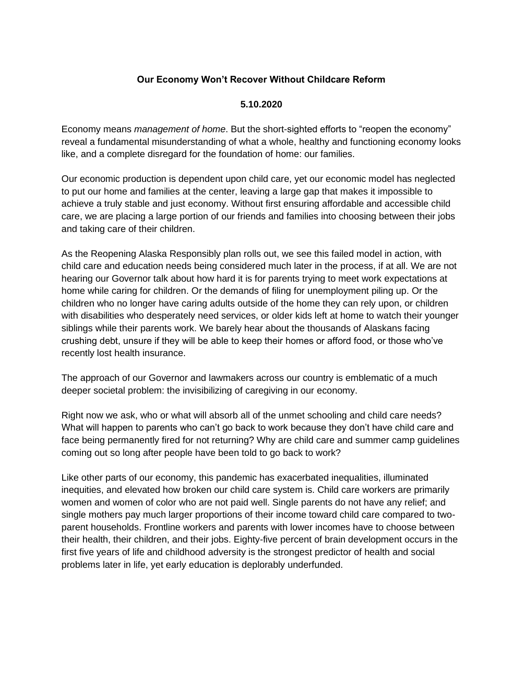## **Our Economy Won't Recover Without Childcare Reform**

## **5.10.2020**

Economy means *management of home*. But the short-sighted efforts to "reopen the economy" reveal a fundamental misunderstanding of what a whole, healthy and functioning economy looks like, and a complete disregard for the foundation of home: our families.

Our economic production is dependent upon child care, yet our economic model has neglected to put our home and families at the center, leaving a large gap that makes it impossible to achieve a truly stable and just economy. Without first ensuring affordable and accessible child care, we are placing a large portion of our friends and families into choosing between their jobs and taking care of their children.

As the Reopening Alaska Responsibly plan rolls out, we see this failed model in action, with child care and education needs being considered much later in the process, if at all. We are not hearing our Governor talk about how hard it is for parents trying to meet work expectations at home while caring for children. Or the demands of filing for unemployment piling up. Or the children who no longer have caring adults outside of the home they can rely upon, or children with disabilities who desperately need services, or older kids left at home to watch their younger siblings while their parents work. We barely hear about the thousands of Alaskans facing crushing debt, unsure if they will be able to keep their homes or afford food, or those who've recently lost health insurance.

The approach of our Governor and lawmakers across our country is emblematic of a much deeper societal problem: the invisibilizing of caregiving in our economy.

Right now we ask, who or what will absorb all of the unmet schooling and child care needs? What will happen to parents who can't go back to work because they don't have child care and face being permanently fired for not returning? Why are child care and summer camp guidelines coming out so long after people have been told to go back to work?

Like other parts of our economy, this pandemic has exacerbated inequalities, illuminated inequities, and elevated how broken our child care system is. Child care workers are primarily women and women of color who are not paid well. Single parents do not have any relief; and single mothers pay much larger proportions of their income toward child care compared to twoparent households. Frontline workers and parents with lower incomes have to choose between their health, their children, and their jobs. Eighty-five percent of brain development occurs in the first five years of life and childhood adversity is the strongest predictor of health and social problems later in life, yet early education is deplorably underfunded.